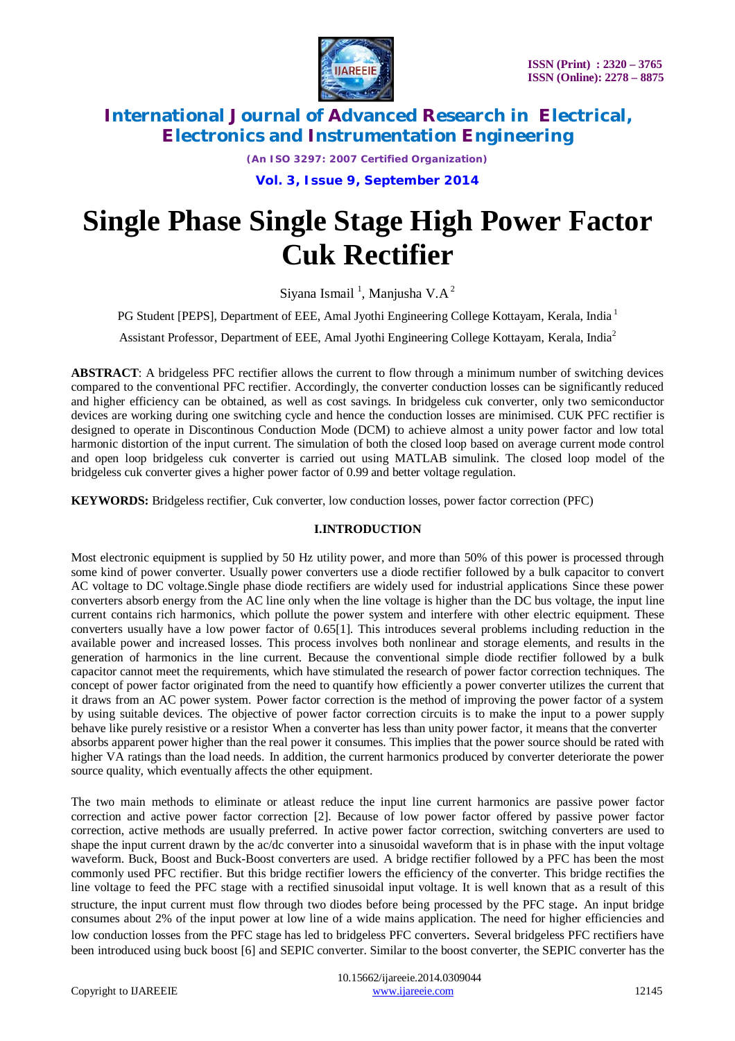

*(An ISO 3297: 2007 Certified Organization)*

**Vol. 3, Issue 9, September 2014**

# **Single Phase Single Stage High Power Factor Cuk Rectifier**

Siyana Ismail<sup>1</sup>, Manjusha V.A<sup>2</sup>

PG Student [PEPS], Department of EEE, Amal Jyothi Engineering College Kottayam, Kerala, India<sup>1</sup>

Assistant Professor, Department of EEE, Amal Jyothi Engineering College Kottayam, Kerala, India<sup>2</sup>

**ABSTRACT**: A bridgeless PFC rectifier allows the current to flow through a minimum number of switching devices compared to the conventional PFC rectifier. Accordingly, the converter conduction losses can be significantly reduced and higher efficiency can be obtained, as well as cost savings. In bridgeless cuk converter, only two semiconductor devices are working during one switching cycle and hence the conduction losses are minimised. CUK PFC rectifier is designed to operate in Discontinous Conduction Mode (DCM) to achieve almost a unity power factor and low total harmonic distortion of the input current. The simulation of both the closed loop based on average current mode control and open loop bridgeless cuk converter is carried out using MATLAB simulink. The closed loop model of the bridgeless cuk converter gives a higher power factor of 0.99 and better voltage regulation.

**KEYWORDS:** Bridgeless rectifier, Cuk converter, low conduction losses, power factor correction (PFC)

#### **I.INTRODUCTION**

Most electronic equipment is supplied by 50 Hz utility power, and more than 50% of this power is processed through some kind of power converter. Usually power converters use a diode rectifier followed by a bulk capacitor to convert AC voltage to DC voltage.Single phase diode rectifiers are widely used for industrial applications Since these power converters absorb energy from the AC line only when the line voltage is higher than the DC bus voltage, the input line current contains rich harmonics, which pollute the power system and interfere with other electric equipment. These converters usually have a low power factor of 0.65[1]. This introduces several problems including reduction in the available power and increased losses. This process involves both nonlinear and storage elements, and results in the generation of harmonics in the line current. Because the conventional simple diode rectifier followed by a bulk capacitor cannot meet the requirements, which have stimulated the research of power factor correction techniques. The concept of power factor originated from the need to quantify how efficiently a power converter utilizes the current that it draws from an AC power system. Power factor correction is the method of improving the power factor of a system by using suitable devices. The objective of power factor correction circuits is to make the input to a power supply behave like purely resistive or a resistor When a converter has less than unity power factor, it means that the converter absorbs apparent power higher than the real power it consumes. This implies that the power source should be rated with higher VA ratings than the load needs. In addition, the current harmonics produced by converter deteriorate the power source quality, which eventually affects the other equipment.

The two main methods to eliminate or atleast reduce the input line current harmonics are passive power factor correction and active power factor correction [2]. Because of low power factor offered by passive power factor correction, active methods are usually preferred. In active power factor correction, switching converters are used to shape the input current drawn by the ac/dc converter into a sinusoidal waveform that is in phase with the input voltage waveform. Buck, Boost and Buck-Boost converters are used. A bridge rectifier followed by a PFC has been the most commonly used PFC rectifier. But this bridge rectifier lowers the efficiency of the converter. This bridge rectifies the line voltage to feed the PFC stage with a rectified sinusoidal input voltage. It is well known that as a result of this structure, the input current must flow through two diodes before being processed by the PFC stage. An input bridge consumes about 2% of the input power at low line of a wide mains application. The need for higher efficiencies and low conduction losses from the PFC stage has led to bridgeless PFC converters. Several bridgeless PFC rectifiers have been introduced using buck boost [6] and SEPIC converter. Similar to the boost converter, the SEPIC converter has the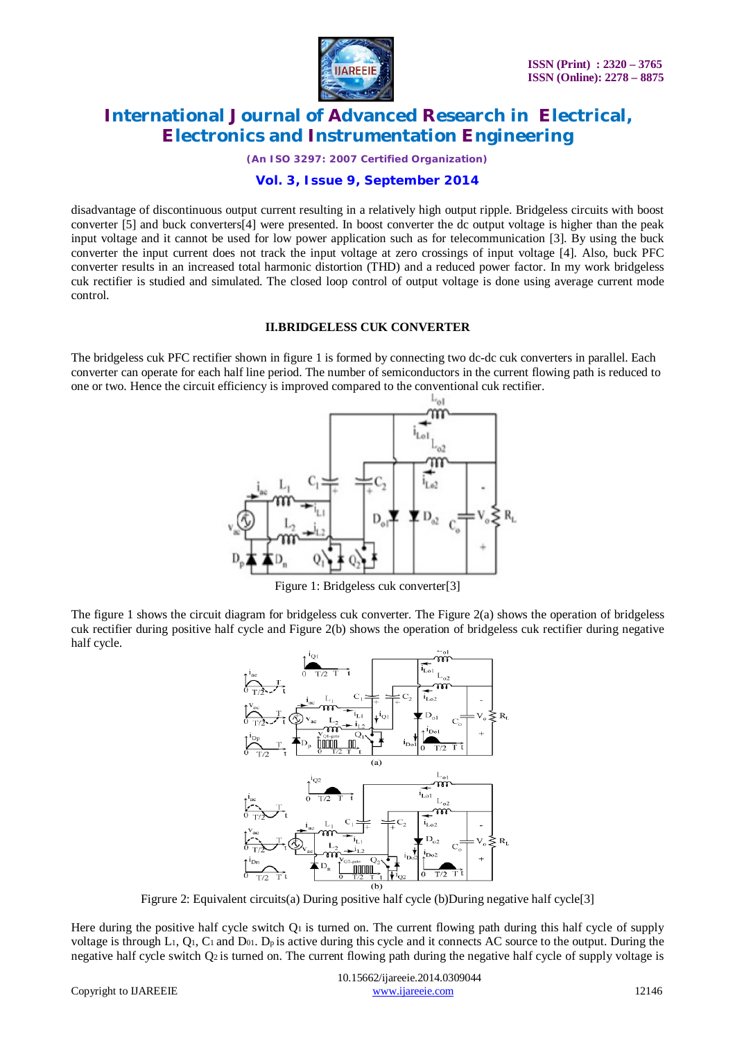

*(An ISO 3297: 2007 Certified Organization)*

### **Vol. 3, Issue 9, September 2014**

disadvantage of discontinuous output current resulting in a relatively high output ripple. Bridgeless circuits with boost converter [5] and buck converters[4] were presented. In boost converter the dc output voltage is higher than the peak input voltage and it cannot be used for low power application such as for telecommunication [3]. By using the buck converter the input current does not track the input voltage at zero crossings of input voltage [4]. Also, buck PFC converter results in an increased total harmonic distortion (THD) and a reduced power factor. In my work bridgeless cuk rectifier is studied and simulated. The closed loop control of output voltage is done using average current mode control.

#### **II.BRIDGELESS CUK CONVERTER**

The bridgeless cuk PFC rectifier shown in figure 1 is formed by connecting two dc-dc cuk converters in parallel. Each converter can operate for each half line period. The number of semiconductors in the current flowing path is reduced to one or two. Hence the circuit efficiency is improved compared to the conventional cuk rectifier.



Figure 1: Bridgeless cuk converter[3]

The figure 1 shows the circuit diagram for bridgeless cuk converter. The Figure 2(a) shows the operation of bridgeless cuk rectifier during positive half cycle and Figure 2(b) shows the operation of bridgeless cuk rectifier during negative half cycle.



Figrure 2: Equivalent circuits(a) During positive half cycle (b) During negative half cycle<sup>[3]</sup>

Here during the positive half cycle switch  $Q_1$  is turned on. The current flowing path during this half cycle of supply voltage is through L1, Q1, C1 and D01. Dp is active during this cycle and it connects AC source to the output. During the negative half cycle switch Q2 is turned on. The current flowing path during the negative half cycle of supply voltage is

 10.15662/ijareeie.2014.0309044 Copyright to UAREEIE www.ijareeie.com 12146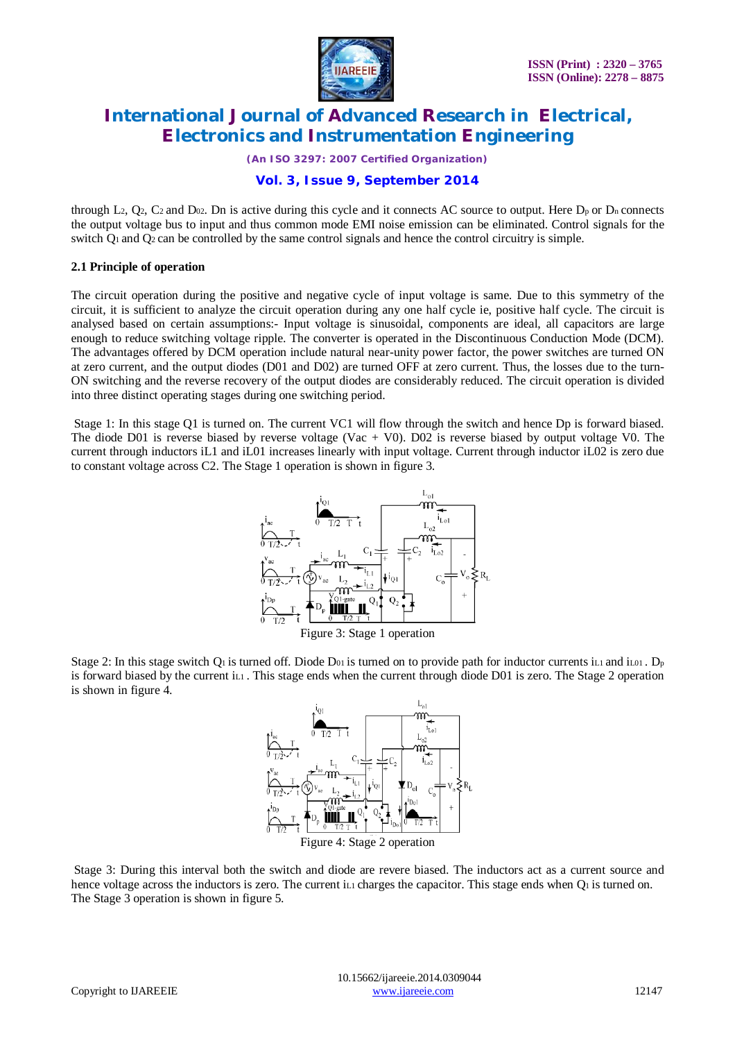

*(An ISO 3297: 2007 Certified Organization)*

### **Vol. 3, Issue 9, September 2014**

through L2,  $Q_2$ ,  $C_2$  and  $D_{02}$ . Dn is active during this cycle and it connects AC source to output. Here  $D_p$  or  $D_n$  connects the output voltage bus to input and thus common mode EMI noise emission can be eliminated. Control signals for the switch  $Q_1$  and  $Q_2$  can be controlled by the same control signals and hence the control circuitry is simple.

#### **2.1 Principle of operation**

The circuit operation during the positive and negative cycle of input voltage is same. Due to this symmetry of the circuit, it is sufficient to analyze the circuit operation during any one half cycle ie, positive half cycle. The circuit is analysed based on certain assumptions:- Input voltage is sinusoidal, components are ideal, all capacitors are large enough to reduce switching voltage ripple. The converter is operated in the Discontinuous Conduction Mode (DCM). The advantages offered by DCM operation include natural near-unity power factor, the power switches are turned ON at zero current, and the output diodes (D01 and D02) are turned OFF at zero current. Thus, the losses due to the turn-ON switching and the reverse recovery of the output diodes are considerably reduced. The circuit operation is divided into three distinct operating stages during one switching period.

Stage 1: In this stage Q1 is turned on. The current VC1 will flow through the switch and hence Dp is forward biased. The diode D01 is reverse biased by reverse voltage (Vac  $+$  V0). D02 is reverse biased by output voltage V0. The current through inductors iL1 and iL01 increases linearly with input voltage. Current through inductor iL02 is zero due to constant voltage across C2. The Stage 1 operation is shown in figure 3.



Stage 2: In this stage switch Q<sub>1</sub> is turned off. Diode D<sub>01</sub> is turned on to provide path for inductor currents iL1 and iL01. D<sub>p</sub> is forward biased by the current i<sub>L1</sub>. This stage ends when the current through diode D01 is zero. The Stage 2 operation



Stage 3: During this interval both the switch and diode are revere biased. The inductors act as a current source and hence voltage across the inductors is zero. The current i<sub>L1</sub> charges the capacitor. This stage ends when  $Q_1$  is turned on. The Stage 3 operation is shown in figure 5.

is shown in figure 4.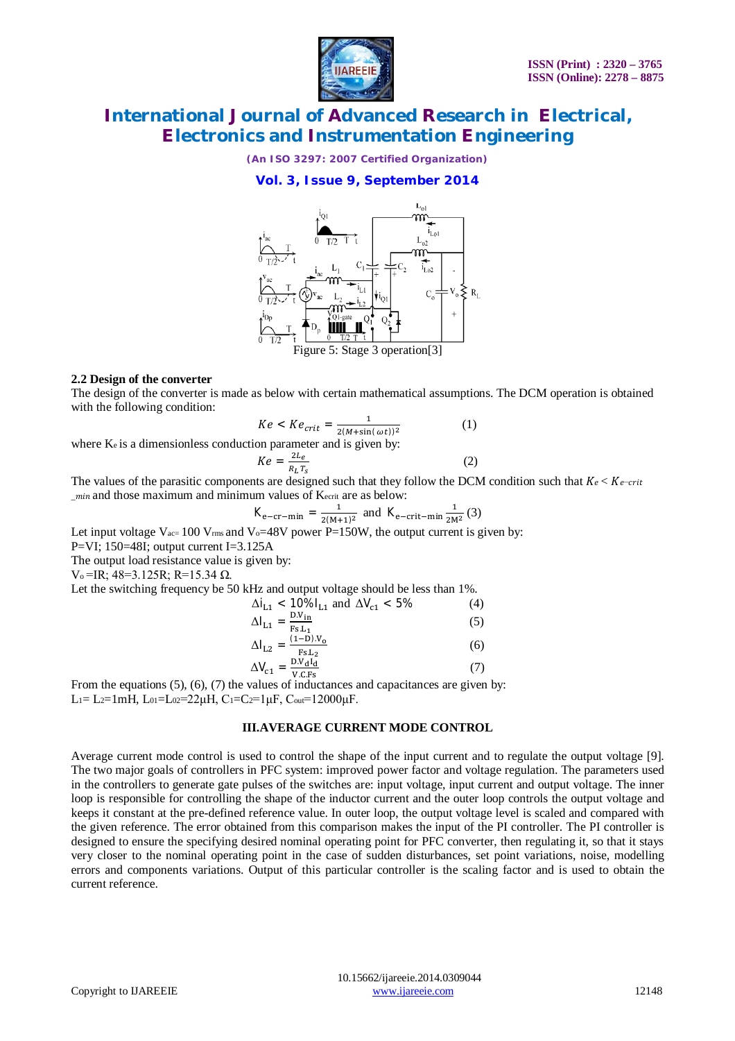

*(An ISO 3297: 2007 Certified Organization)*

**Vol. 3, Issue 9, September 2014**



#### **2.2 Design of the converter**

The design of the converter is made as below with certain mathematical assumptions. The DCM operation is obtained with the following condition:

$$
Ke < Ke_{crit} = \frac{1}{2(M+\sin(\omega t))^2} \tag{1}
$$

where  $K_e$  is a dimensionless conduction parameter and is given by:

$$
Ke = \frac{2L_e}{R_L T_S}
$$
 (2)

The values of the parasitic components are designed such that they follow the DCM condition such that  $Ke < Ke-crit$ min and those maximum and minimum values of Kecrit are as below:

$$
K_{e-cr-min} = \frac{1}{2(M+1)^2}
$$
 and  $K_{e-crit-min} \frac{1}{2M^2}$  (3)

Let input voltage  $V_{ac} = 100 V_{rms}$  and  $V_0 = 48V$  power P=150W, the output current is given by:

P=VI; 150=48I; output current I=3.125A

The output load resistance value is given by:

V<sub>o</sub>=IR; 48=3.125R; R=15.34 Ω.

Let the switching frequency be 50 kHz and output voltage should be less than 1%.

$$
\Delta i_{L1} < 10\%l_{L1} \text{ and } \Delta V_{c1} < 5\% \tag{4}
$$
\n
$$
\Delta l_{L1} = \frac{D.V_{in}}{Fs.L_1} \tag{5}
$$
\n
$$
\Delta l_{L2} = \frac{(1-D)V_0}{Fs.L_2} \tag{6}
$$

$$
\Delta V_{c1} = \frac{D.V_dI_d}{V.C.Fs}
$$
\nvalues of inductances and capacitors as given

\n
$$
T = \frac{V}{V.C.Fs}
$$
\n(7)

From the equations (5), (6), (7) the values of inductances and capacitances are given by: L<sub>1</sub>= L<sub>2</sub>=1mH, L<sub>01</sub>=L<sub>02</sub>=22<sub>µ</sub>H, C<sub>1</sub>=C<sub>2</sub>=1<sub>µ</sub>F, C<sub>out</sub>=12000<sub>µ</sub>F.

#### **III.AVERAGE CURRENT MODE CONTROL**

Average current mode control is used to control the shape of the input current and to regulate the output voltage [9]. The two major goals of controllers in PFC system: improved power factor and voltage regulation. The parameters used in the controllers to generate gate pulses of the switches are: input voltage, input current and output voltage. The inner loop is responsible for controlling the shape of the inductor current and the outer loop controls the output voltage and keeps it constant at the pre-defined reference value. In outer loop, the output voltage level is scaled and compared with the given reference. The error obtained from this comparison makes the input of the PI controller. The PI controller is designed to ensure the specifying desired nominal operating point for PFC converter, then regulating it, so that it stays very closer to the nominal operating point in the case of sudden disturbances, set point variations, noise, modelling errors and components variations. Output of this particular controller is the scaling factor and is used to obtain the current reference.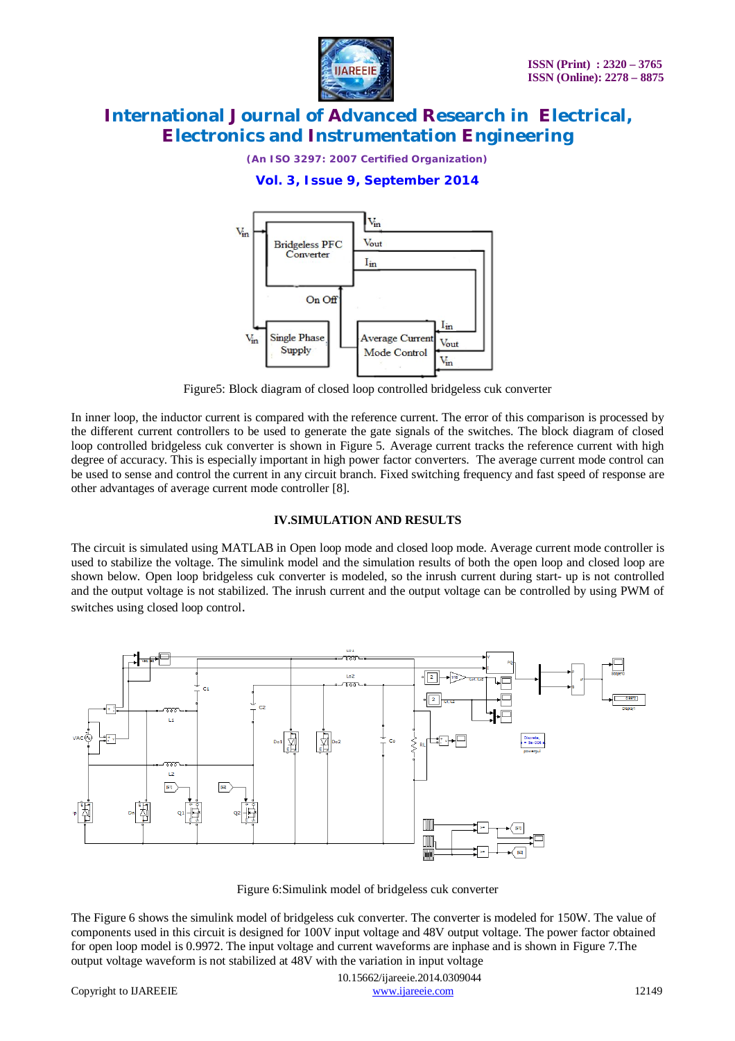

*(An ISO 3297: 2007 Certified Organization)*

### **Vol. 3, Issue 9, September 2014**



Figure5: Block diagram of closed loop controlled bridgeless cuk converter

In inner loop, the inductor current is compared with the reference current. The error of this comparison is processed by the different current controllers to be used to generate the gate signals of the switches. The block diagram of closed loop controlled bridgeless cuk converter is shown in Figure 5. Average current tracks the reference current with high degree of accuracy. This is especially important in high power factor converters. The average current mode control can be used to sense and control the current in any circuit branch. Fixed switching frequency and fast speed of response are other advantages of average current mode controller [8].

#### **IV.SIMULATION AND RESULTS**

The circuit is simulated using MATLAB in Open loop mode and closed loop mode. Average current mode controller is used to stabilize the voltage. The simulink model and the simulation results of both the open loop and closed loop are shown below. Open loop bridgeless cuk converter is modeled, so the inrush current during start- up is not controlled and the output voltage is not stabilized. The inrush current and the output voltage can be controlled by using PWM of switches using closed loop control.



Figure 6:Simulink model of bridgeless cuk converter

The Figure 6 shows the simulink model of bridgeless cuk converter. The converter is modeled for 150W. The value of components used in this circuit is designed for 100V input voltage and 48V output voltage. The power factor obtained for open loop model is 0.9972. The input voltage and current waveforms are inphase and is shown in Figure 7.The output voltage waveform is not stabilized at 48V with the variation in input voltage

 10.15662/ijareeie.2014.0309044 Copyright to IJAREEIE www.ijareeie.com 12149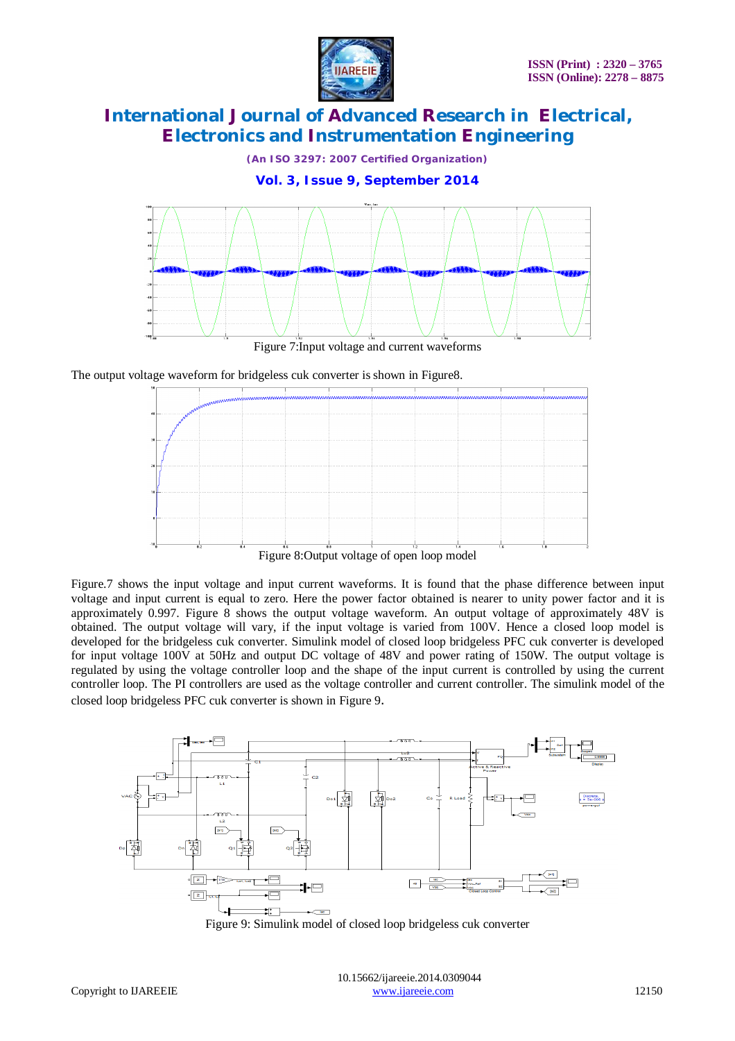

*(An ISO 3297: 2007 Certified Organization)*

**Vol. 3, Issue 9, September 2014**



Figure 7:Input voltage and current waveforms

The output voltage waveform for bridgeless cuk converter is shown in Figure8.



Figure.7 shows the input voltage and input current waveforms. It is found that the phase difference between input voltage and input current is equal to zero. Here the power factor obtained is nearer to unity power factor and it is approximately 0.997. Figure 8 shows the output voltage waveform. An output voltage of approximately 48V is obtained. The output voltage will vary, if the input voltage is varied from 100V. Hence a closed loop model is developed for the bridgeless cuk converter. Simulink model of closed loop bridgeless PFC cuk converter is developed for input voltage 100V at 50Hz and output DC voltage of 48V and power rating of 150W. The output voltage is regulated by using the voltage controller loop and the shape of the input current is controlled by using the current controller loop. The PI controllers are used as the voltage controller and current controller. The simulink model of the closed loop bridgeless PFC cuk converter is shown in Figure 9.



Figure 9: Simulink model of closed loop bridgeless cuk converter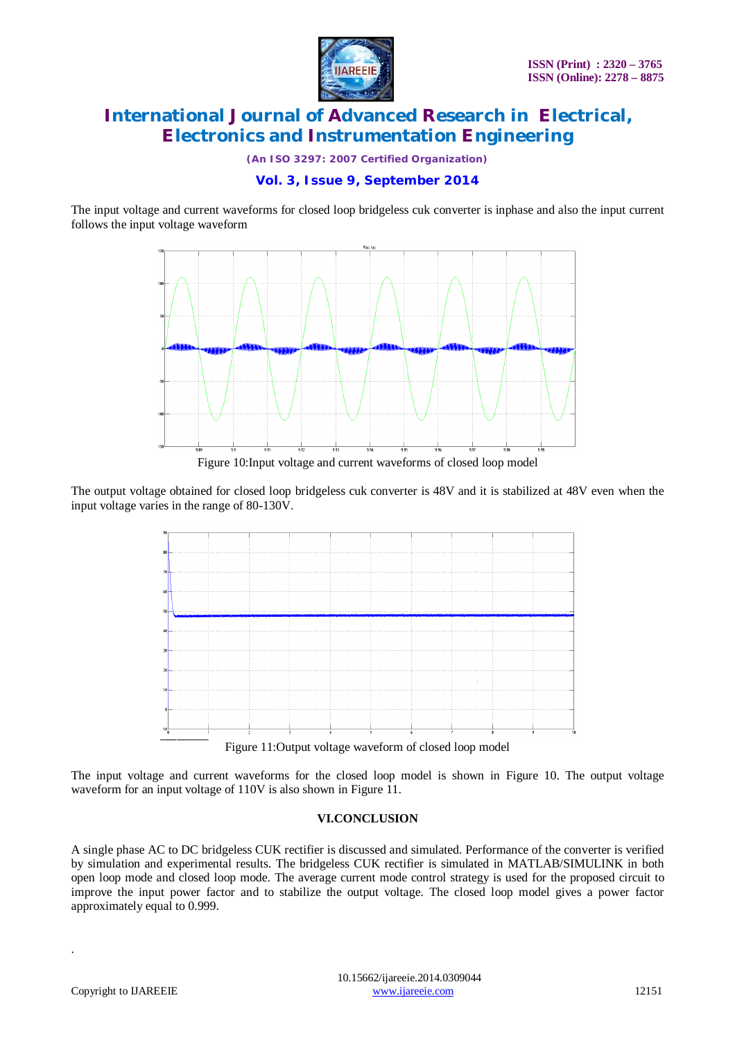

*(An ISO 3297: 2007 Certified Organization)*

### **Vol. 3, Issue 9, September 2014**

The input voltage and current waveforms for closed loop bridgeless cuk converter is inphase and also the input current follows the input voltage waveform



Figure 10:Input voltage and current waveforms of closed loop model

The output voltage obtained for closed loop bridgeless cuk converter is 48V and it is stabilized at 48V even when the input voltage varies in the range of 80-130V.



Figure 11:Output voltage waveform of closed loop model

The input voltage and current waveforms for the closed loop model is shown in Figure 10. The output voltage waveform for an input voltage of 110V is also shown in Figure 11.

### **VI.CONCLUSION**

A single phase AC to DC bridgeless CUK rectifier is discussed and simulated. Performance of the converter is verified by simulation and experimental results. The bridgeless CUK rectifier is simulated in MATLAB/SIMULINK in both open loop mode and closed loop mode. The average current mode control strategy is used for the proposed circuit to improve the input power factor and to stabilize the output voltage. The closed loop model gives a power factor approximately equal to 0.999.

.